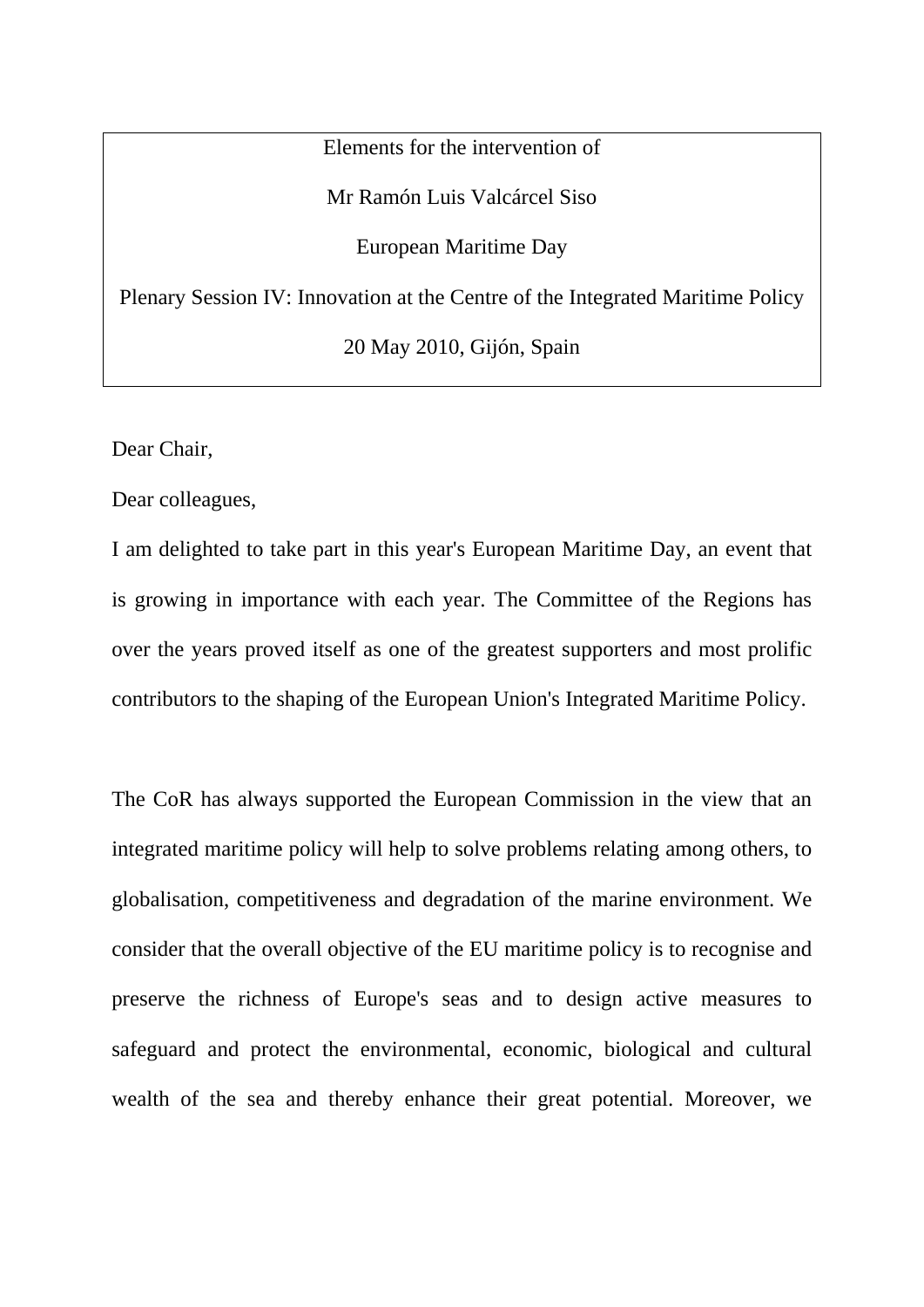Elements for the intervention of

Mr Ramón Luis Valcárcel Siso

European Maritime Day

Plenary Session IV: Innovation at the Centre of the Integrated Maritime Policy

20 May 2010, Gijón, Spain

Dear Chair,

Dear colleagues,

I am delighted to take part in this year's European Maritime Day, an event that is growing in importance with each year. The Committee of the Regions has over the years proved itself as one of the greatest supporters and most prolific contributors to the shaping of the European Union's Integrated Maritime Policy.

The CoR has always supported the European Commission in the view that an integrated maritime policy will help to solve problems relating among others, to globalisation, competitiveness and degradation of the marine environment. We consider that the overall objective of the EU maritime policy is to recognise and preserve the richness of Europe's seas and to design active measures to safeguard and protect the environmental, economic, biological and cultural wealth of the sea and thereby enhance their great potential. Moreover, we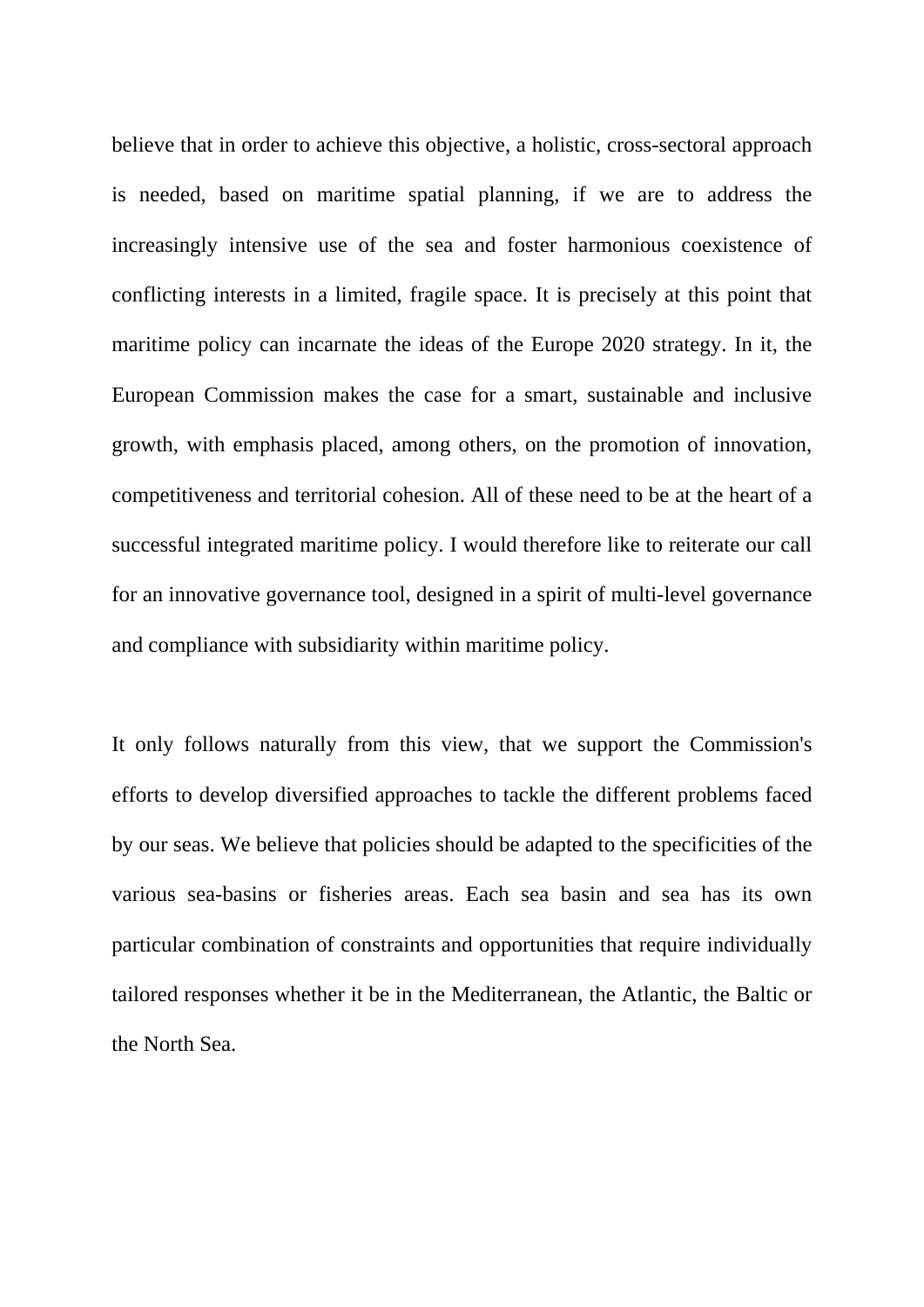believe that in order to achieve this objective, a holistic, cross-sectoral approach is needed, based on maritime spatial planning, if we are to address the increasingly intensive use of the sea and foster harmonious coexistence of conflicting interests in a limited, fragile space. It is precisely at this point that maritime policy can incarnate the ideas of the Europe 2020 strategy. In it, the European Commission makes the case for a smart, sustainable and inclusive growth, with emphasis placed, among others, on the promotion of innovation, competitiveness and territorial cohesion. All of these need to be at the heart of a successful integrated maritime policy. I would therefore like to reiterate our call for an innovative governance tool, designed in a spirit of multi-level governance and compliance with subsidiarity within maritime policy.

It only follows naturally from this view, that we support the Commission's efforts to develop diversified approaches to tackle the different problems faced by our seas. We believe that policies should be adapted to the specificities of the various sea-basins or fisheries areas. Each sea basin and sea has its own particular combination of constraints and opportunities that require individually tailored responses whether it be in the Mediterranean, the Atlantic, the Baltic or the North Sea.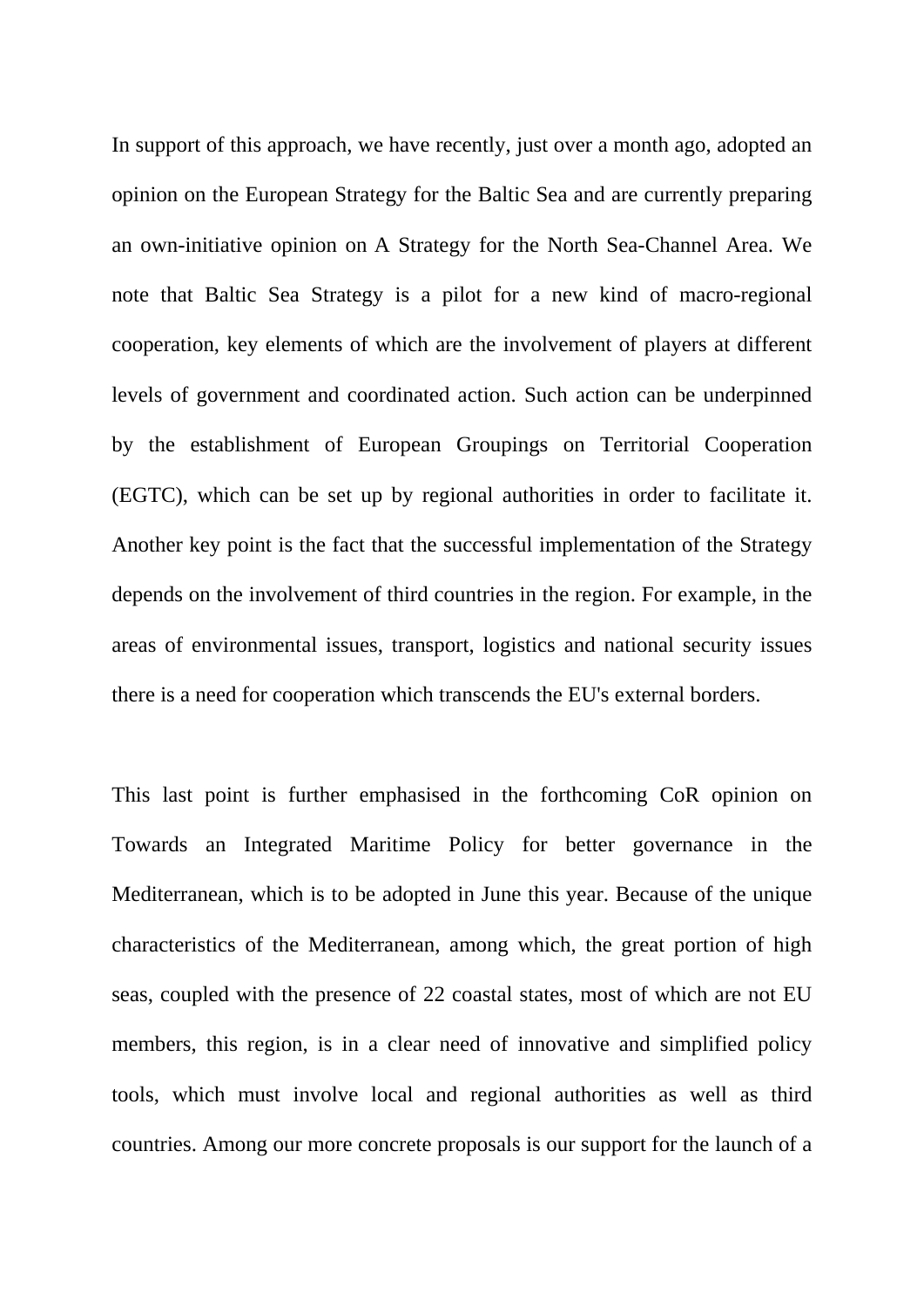In support of this approach, we have recently, just over a month ago, adopted an opinion on the European Strategy for the Baltic Sea and are currently preparing an own-initiative opinion on A Strategy for the North Sea-Channel Area. We note that Baltic Sea Strategy is a pilot for a new kind of macro-regional cooperation, key elements of which are the involvement of players at different levels of government and coordinated action. Such action can be underpinned by the establishment of European Groupings on Territorial Cooperation (EGTC), which can be set up by regional authorities in order to facilitate it. Another key point is the fact that the successful implementation of the Strategy depends on the involvement of third countries in the region. For example, in the areas of environmental issues, transport, logistics and national security issues there is a need for cooperation which transcends the EU's external borders.

This last point is further emphasised in the forthcoming CoR opinion on Towards an Integrated Maritime Policy for better governance in the Mediterranean, which is to be adopted in June this year. Because of the unique characteristics of the Mediterranean, among which, the great portion of high seas, coupled with the presence of 22 coastal states, most of which are not EU members, this region, is in a clear need of innovative and simplified policy tools, which must involve local and regional authorities as well as third countries. Among our more concrete proposals is our support for the launch of a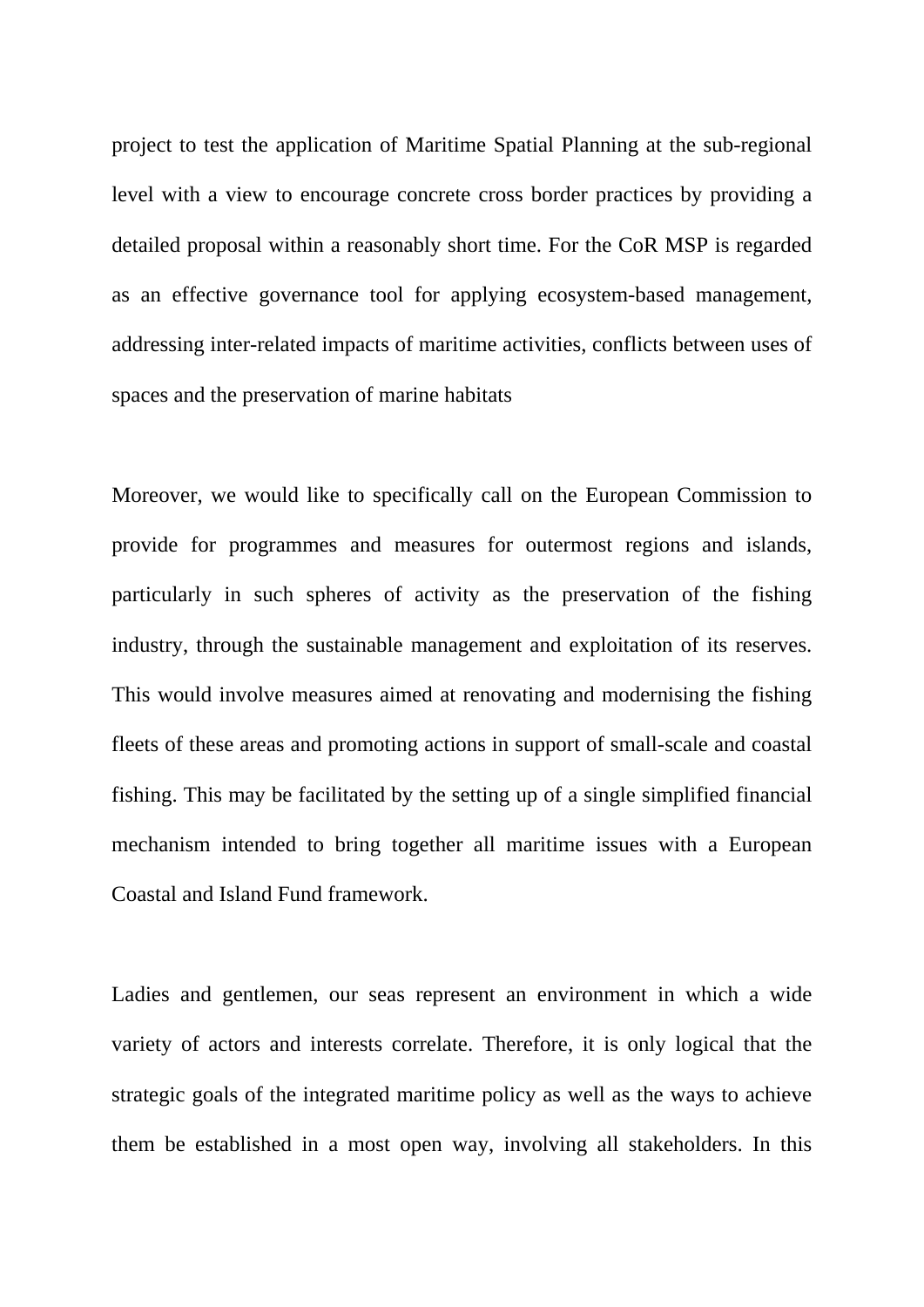project to test the application of Maritime Spatial Planning at the sub-regional level with a view to encourage concrete cross border practices by providing a detailed proposal within a reasonably short time. For the CoR MSP is regarded as an effective governance tool for applying ecosystem-based management, addressing inter-related impacts of maritime activities, conflicts between uses of spaces and the preservation of marine habitats

Moreover, we would like to specifically call on the European Commission to provide for programmes and measures for outermost regions and islands, particularly in such spheres of activity as the preservation of the fishing industry, through the sustainable management and exploitation of its reserves. This would involve measures aimed at renovating and modernising the fishing fleets of these areas and promoting actions in support of small-scale and coastal fishing. This may be facilitated by the setting up of a single simplified financial mechanism intended to bring together all maritime issues with a European Coastal and Island Fund framework.

Ladies and gentlemen, our seas represent an environment in which a wide variety of actors and interests correlate. Therefore, it is only logical that the strategic goals of the integrated maritime policy as well as the ways to achieve them be established in a most open way, involving all stakeholders. In this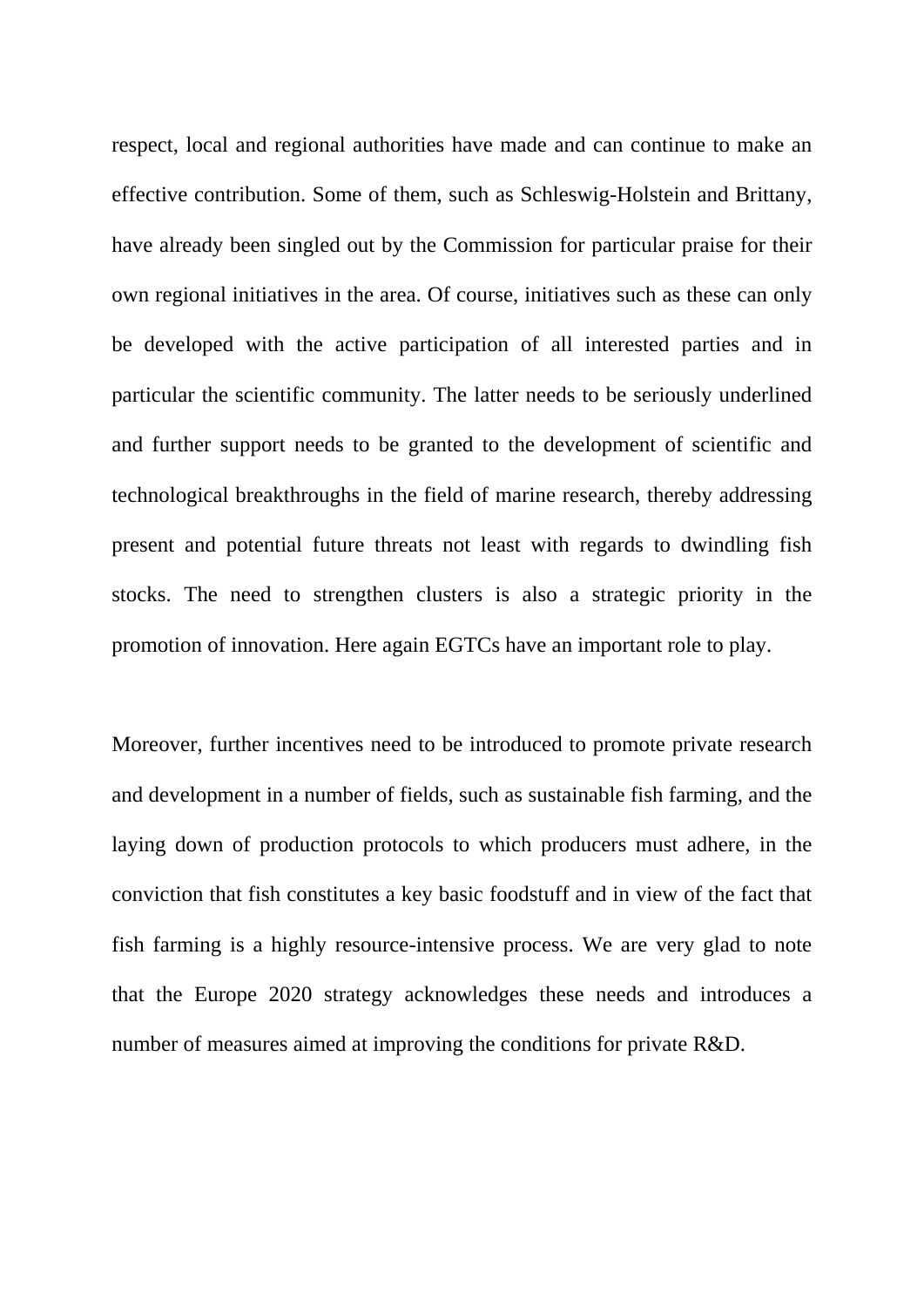respect, local and regional authorities have made and can continue to make an effective contribution. Some of them, such as Schleswig-Holstein and Brittany, have already been singled out by the Commission for particular praise for their own regional initiatives in the area. Of course, initiatives such as these can only be developed with the active participation of all interested parties and in particular the scientific community. The latter needs to be seriously underlined and further support needs to be granted to the development of scientific and technological breakthroughs in the field of marine research, thereby addressing present and potential future threats not least with regards to dwindling fish stocks. The need to strengthen clusters is also a strategic priority in the promotion of innovation. Here again EGTCs have an important role to play.

Moreover, further incentives need to be introduced to promote private research and development in a number of fields, such as sustainable fish farming, and the laying down of production protocols to which producers must adhere, in the conviction that fish constitutes a key basic foodstuff and in view of the fact that fish farming is a highly resource-intensive process. We are very glad to note that the Europe 2020 strategy acknowledges these needs and introduces a number of measures aimed at improving the conditions for private R&D.